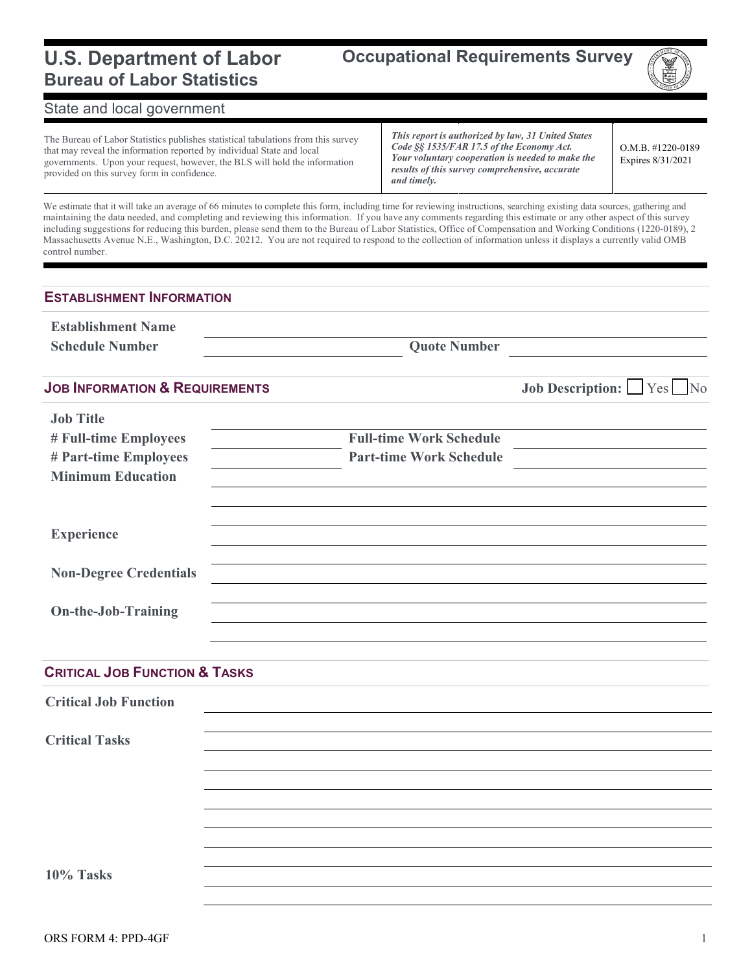### **U.S. Department of Labor Bureau of Labor Statistics**

**Occupational Requirements Survey**



### State and local government

The Bureau of Labor Statistics publishes statistical tabulations from this survey that may reveal the information reported by individual State and local governments. Upon your request, however, the BLS will hold the information provided on this survey form in confidence.

*This report is authorized by law, 31 United States Code §§ 1535/FAR 17.5 of the Economy Act. Your voluntary cooperation is needed to make the results of this survey comprehensive, accurate and timely.*

O.M.B. #1220-0189 Expires 8/31/2021

We estimate that it will take an average of 66 minutes to complete this form, including time for reviewing instructions, searching existing data sources, gathering and maintaining the data needed, and completing and reviewing this information. If you have any comments regarding this estimate or any other aspect of this survey including suggestions for reducing this burden, please send them to the Bureau of Labor Statistics, Office of Compensation and Working Conditions (1220-0189), 2 Massachusetts Avenue N.E., Washington, D.C. 20212. You are not required to respond to the collection of information unless it displays a currently valid OMB control number.

#### **ESTABLISHMENT INFORMATION**

| <b>Establishment Name</b>                 |                                |                                |  |  |
|-------------------------------------------|--------------------------------|--------------------------------|--|--|
| <b>Schedule Number</b>                    | <b>Quote Number</b>            |                                |  |  |
| <b>JOB INFORMATION &amp; REQUIREMENTS</b> |                                | <b>Job Description:</b> Yes No |  |  |
| <b>Job Title</b>                          |                                |                                |  |  |
| # Full-time Employees                     | <b>Full-time Work Schedule</b> |                                |  |  |
| # Part-time Employees                     | <b>Part-time Work Schedule</b> |                                |  |  |
| <b>Minimum Education</b>                  |                                |                                |  |  |
| <b>Experience</b>                         |                                |                                |  |  |
|                                           |                                |                                |  |  |
| <b>Non-Degree Credentials</b>             |                                |                                |  |  |
| <b>On-the-Job-Training</b>                |                                |                                |  |  |
|                                           |                                |                                |  |  |
|                                           |                                |                                |  |  |
| <b>CRITICAL JOB FUNCTION &amp; TASKS</b>  |                                |                                |  |  |

**Critical Job Function Critical Tasks 10% Tasks**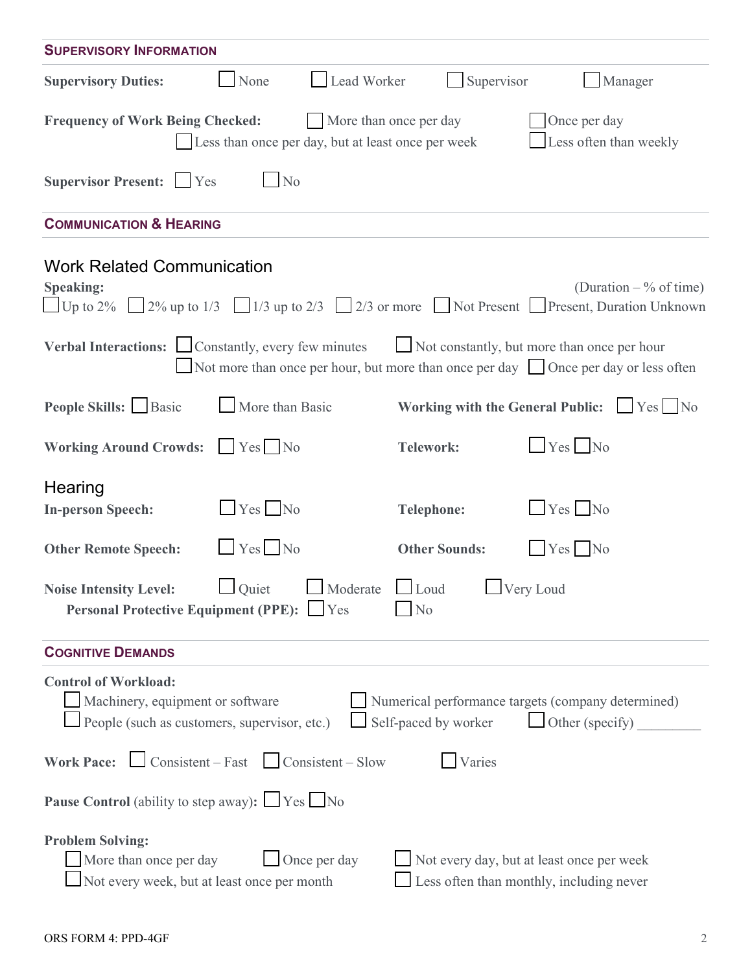| <b>SUPERVISORY INFORMATION</b>                                                                                                                                                                                   |                      |                                                                                       |  |  |  |  |  |
|------------------------------------------------------------------------------------------------------------------------------------------------------------------------------------------------------------------|----------------------|---------------------------------------------------------------------------------------|--|--|--|--|--|
| Lead Worker<br><b>Supervisory Duties:</b><br>None                                                                                                                                                                | Supervisor           | Manager                                                                               |  |  |  |  |  |
| Once per day<br><b>Frequency of Work Being Checked:</b><br>More than once per day<br>Less often than weekly<br>Less than once per day, but at least once per week                                                |                      |                                                                                       |  |  |  |  |  |
| Supervisor Present: Ves<br>N <sub>o</sub>                                                                                                                                                                        |                      |                                                                                       |  |  |  |  |  |
| <b>COMMUNICATION &amp; HEARING</b>                                                                                                                                                                               |                      |                                                                                       |  |  |  |  |  |
| <b>Work Related Communication</b><br><b>Speaking:</b><br>Up to 2% 2% up to 1/3 $\Box$ 1/3 up to 2/3 $\Box$ 2/3 or more $\Box$ Not Present $\Box$ Present, Duration Unknown                                       |                      | (Duration $-$ % of time)                                                              |  |  |  |  |  |
| Verbal Interactions: Constantly, every few minutes<br>Not more than once per hour, but more than once per day Once per day or less often                                                                         |                      | Not constantly, but more than once per hour                                           |  |  |  |  |  |
| People Skills: Basic<br>More than Basic                                                                                                                                                                          |                      | Working with the General Public: $\Box$ Yes $\Box$ No                                 |  |  |  |  |  |
| <b>Working Around Crowds:</b><br>$Yes$ No                                                                                                                                                                        | <b>Telework:</b>     | $Yes$ No                                                                              |  |  |  |  |  |
| Hearing<br>$Yes$ No<br><b>In-person Speech:</b>                                                                                                                                                                  | <b>Telephone:</b>    | $Yes$ No                                                                              |  |  |  |  |  |
| $\Box$ Yes $\Box$ No<br><b>Other Remote Speech:</b>                                                                                                                                                              | <b>Other Sounds:</b> | $Yes$ No                                                                              |  |  |  |  |  |
| Quiet Moderate Loud Very Loud<br><b>Noise Intensity Level:</b><br>Personal Protective Equipment (PPE): Yes<br>$\log$                                                                                             |                      |                                                                                       |  |  |  |  |  |
| <b>COGNITIVE DEMANDS</b>                                                                                                                                                                                         |                      |                                                                                       |  |  |  |  |  |
| <b>Control of Workload:</b><br>Machinery, equipment or software<br>Numerical performance targets (company determined)<br>People (such as customers, supervisor, etc.)<br>Self-paced by worker<br>Other (specify) |                      |                                                                                       |  |  |  |  |  |
| <b>Work Pace:</b> $\Box$ Consistent – Fast $\Box$ Consistent – Slow                                                                                                                                              | Varies               |                                                                                       |  |  |  |  |  |
| <b>Pause Control</b> (ability to step away): $\Box$ Yes $\Box$ No                                                                                                                                                |                      |                                                                                       |  |  |  |  |  |
| <b>Problem Solving:</b><br>Once per day<br>More than once per day<br>Not every week, but at least once per month                                                                                                 |                      | Not every day, but at least once per week<br>Less often than monthly, including never |  |  |  |  |  |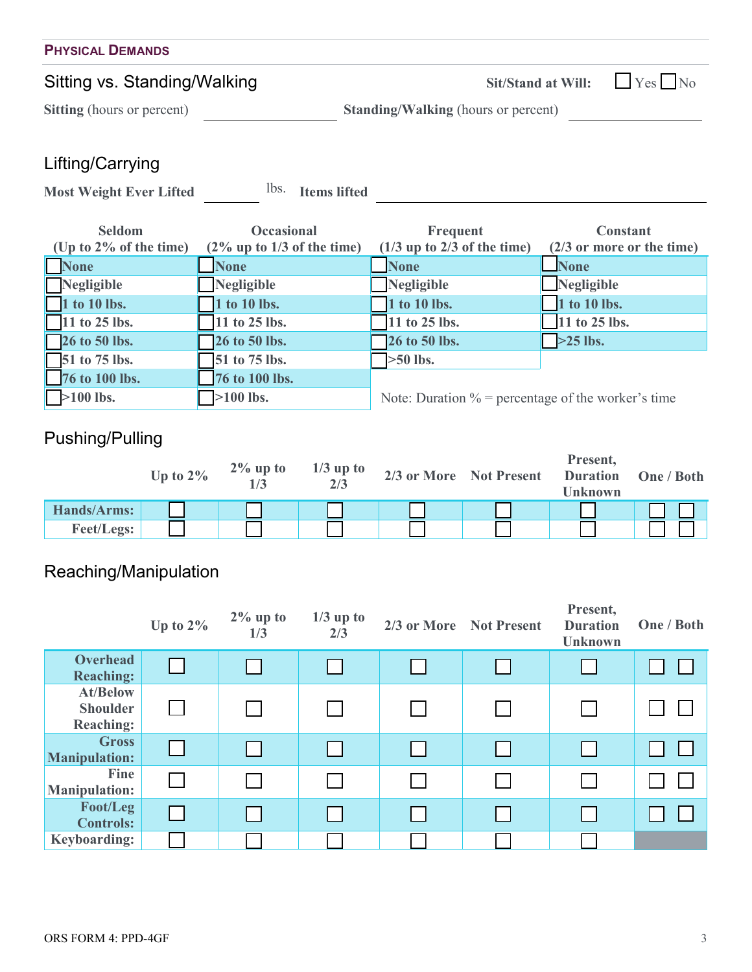| <b>PHYSICAL DEMANDS</b>           |                                            |  |  |  |  |
|-----------------------------------|--------------------------------------------|--|--|--|--|
| Sitting vs. Standing/Walking      | Sit/Stand at Will: $\Box$ Yes $\Box$ No    |  |  |  |  |
| <b>Sitting</b> (hours or percent) | <b>Standing/Walking (hours or percent)</b> |  |  |  |  |
|                                   |                                            |  |  |  |  |

## Lifting/Carrying

Most Weight Ever Lifted <sup>lbs.</sup> Items lifted

| <b>Seldom</b>             | <b>Occasional</b>             | Frequent                                              | <b>Constant</b>              |  |  |
|---------------------------|-------------------------------|-------------------------------------------------------|------------------------------|--|--|
| (Up to $2\%$ of the time) | $(2\%$ up to 1/3 of the time) | $(1/3$ up to 2/3 of the time)                         | $(2/3)$ or more or the time) |  |  |
| <b>None</b>               | <b>None</b>                   | <b>None</b>                                           | <b>None</b>                  |  |  |
| Negligible                | Negligible                    | Negligible                                            | $\Box$ Negligible            |  |  |
| 1 to 10 lbs.              | 1 to 10 lbs.                  | 1 to 10 lbs.                                          | 1 to 10 lbs.                 |  |  |
| $\Box$ 11 to 25 lbs.      | $\sqrt{11}$ to 25 lbs.        | 11 to 25 lbs.                                         | 11 to 25 lbs.                |  |  |
| $\sqrt{26}$ to 50 lbs.    | <b>26 to 50 lbs.</b>          | 26 to 50 lbs.                                         | $>25$ lbs.                   |  |  |
| $\sqrt{51}$ to 75 lbs.    | 51 to 75 lbs.                 | $\geq 50$ lbs.                                        |                              |  |  |
| 76 to 100 lbs.            | 76 to 100 lbs.                |                                                       |                              |  |  |
| $>100$ lbs.               | $\sqrt{>100}$ lbs.            | Note: Duration $\%$ = percentage of the worker's time |                              |  |  |

# Pushing/Pulling

|                   | Up to $2\%$ | $2\%$ up to | $1/3$ up to<br>2/3 | 2/3 or More Not Present | Present,<br><b>Duration</b><br><b>Unknown</b> | One / Both |
|-------------------|-------------|-------------|--------------------|-------------------------|-----------------------------------------------|------------|
| Hands/Arms:       |             |             |                    |                         |                                               |            |
| <b>Feet/Legs:</b> |             |             |                    |                         |                                               |            |

# Reaching/Manipulation

|                                                        | Up to $2\%$ | $2\%$ up to<br>1/3 | $1/3$ up to<br>2/3 | 2/3 or More Not Present | Present,<br><b>Duration</b><br><b>Unknown</b> | One / Both |
|--------------------------------------------------------|-------------|--------------------|--------------------|-------------------------|-----------------------------------------------|------------|
| <b>Overhead</b><br><b>Reaching:</b>                    |             |                    |                    |                         |                                               |            |
| <b>At/Below</b><br><b>Shoulder</b><br><b>Reaching:</b> |             |                    |                    |                         |                                               |            |
| <b>Gross</b><br><b>Manipulation:</b>                   |             |                    |                    |                         |                                               |            |
| Fine<br><b>Manipulation:</b>                           |             |                    |                    |                         |                                               |            |
| Foot/Leg<br><b>Controls:</b>                           |             |                    |                    |                         |                                               |            |
| <b>Keyboarding:</b>                                    |             |                    |                    |                         |                                               |            |